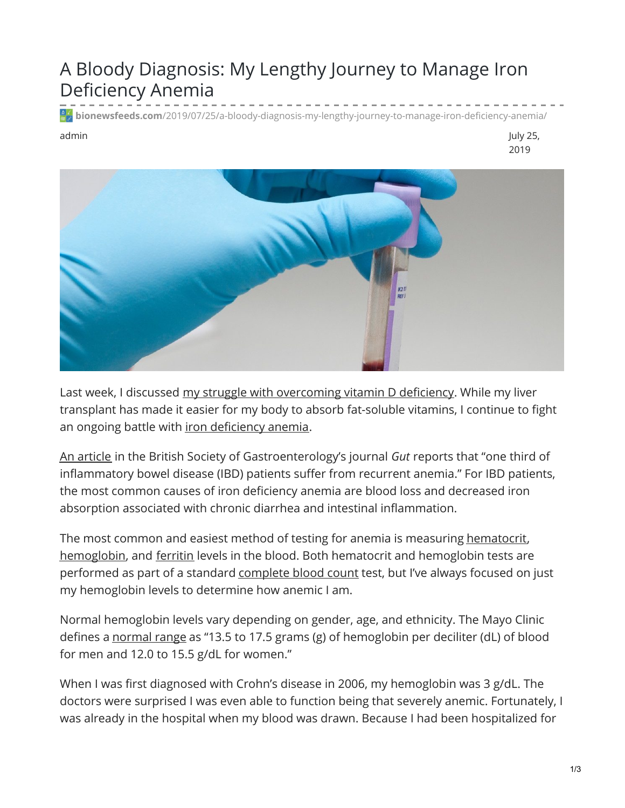## A Bloody Diagnosis: My Lengthy Journey to Manage Iron Deficiency Anemia

**bionewsfeeds.com**[/2019/07/25/a-bloody-diagnosis-my-lengthy-journey-to-manage-iron-deficiency-anemia/](https://bionewsfeeds.com/2019/07/25/a-bloody-diagnosis-my-lengthy-journey-to-manage-iron-deficiency-anemia/)

admin July 25, 2019



Last week, I discussed my struggle with [overcoming](https://ibdnewstoday.com/2019/07/18/bone-density-vitamin-d-transplant/) vitamin D deficiency. While my liver transplant has made it easier for my body to absorb fat-soluble vitamins, I continue to fight an ongoing battle with *iron* [deficiency](https://www.mayoclinic.org/diseases-conditions/iron-deficiency-anemia/symptoms-causes/syc-20355034) anemia.

An [article](https://gut.bmj.com/content/53/8/1190) in the British Society of Gastroenterology's journal *Gut* reports that "one third of inflammatory bowel disease (IBD) patients suffer from recurrent anemia." For IBD patients, the most common causes of iron deficiency anemia are blood loss and decreased iron absorption associated with chronic diarrhea and intestinal inflammation.

The most common and easiest method of testing for anemia is measuring [hematocrit](https://www.mayoclinic.org/tests-procedures/hematocrit/about/pac-20384728), [hemoglobin](https://www.mayoclinic.org/tests-procedures/hemoglobin-test/about/pac-20385075), and [ferritin](https://www.mayoclinic.org/tests-procedures/ferritin-test/about/pac-20384928) levels in the blood. Both hematocrit and hemoglobin tests are performed as part of a standard [complete](https://www.mayoclinic.org/tests-procedures/complete-blood-count/about/pac-20384919) blood count test, but I've always focused on just my hemoglobin levels to determine how anemic I am.

Normal hemoglobin levels vary depending on gender, age, and ethnicity. The Mayo Clinic defines a [normal](https://www.mayoclinic.org/diseases-conditions/iron-deficiency-anemia/diagnosis-treatment/drc-20355040) range as "13.5 to 17.5 grams (g) of hemoglobin per deciliter (dL) of blood for men and 12.0 to 15.5 g/dL for women."

When I was first diagnosed with Crohn's disease in 2006, my hemoglobin was 3 g/dL. The doctors were surprised I was even able to function being that severely anemic. Fortunately, I was already in the hospital when my blood was drawn. Because I had been hospitalized for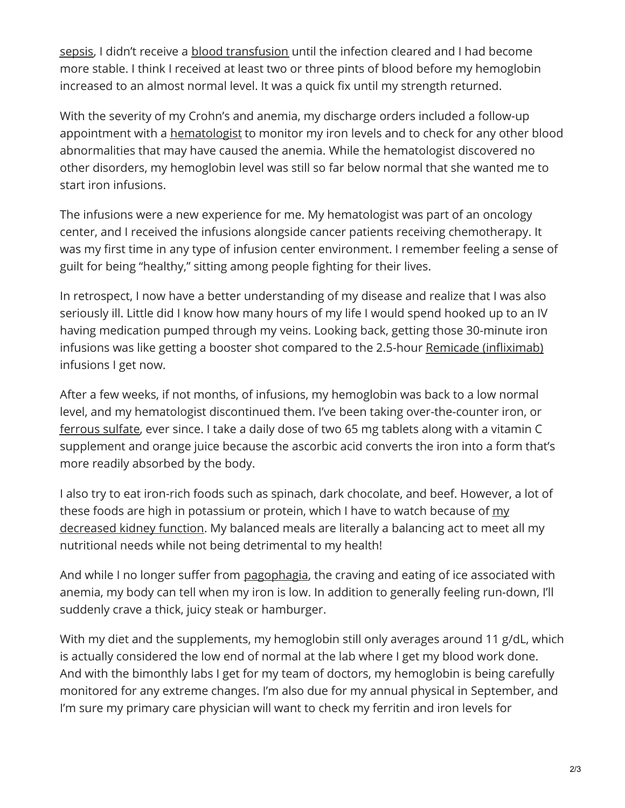[sepsis](https://www.mayoclinic.org/diseases-conditions/sepsis/symptoms-causes/syc-20351214), I didn't receive a blood [transfusion](https://www.mayoclinic.org/tests-procedures/blood-transfusion/about/pac-20385168) until the infection cleared and I had become more stable. I think I received at least two or three pints of blood before my hemoglobin increased to an almost normal level. It was a quick fix until my strength returned.

With the severity of my Crohn's and anemia, my discharge orders included a follow-up appointment with a [hematologist](https://www.hematology.org/Patients/Blood-Disorders.aspx) to monitor my iron levels and to check for any other blood abnormalities that may have caused the anemia. While the hematologist discovered no other disorders, my hemoglobin level was still so far below normal that she wanted me to start iron infusions.

The infusions were a new experience for me. My hematologist was part of an oncology center, and I received the infusions alongside cancer patients receiving chemotherapy. It was my first time in any type of infusion center environment. I remember feeling a sense of guilt for being "healthy," sitting among people fighting for their lives.

In retrospect, I now have a better understanding of my disease and realize that I was also seriously ill. Little did I know how many hours of my life I would spend hooked up to an IV having medication pumped through my veins. Looking back, getting those 30-minute iron infusions was like getting a booster shot compared to the 2.5-hour Remicade [\(infliximab\)](https://www.remicade.com/) infusions I get now.

After a few weeks, if not months, of infusions, my hemoglobin was back to a low normal level, and my hematologist discontinued them. I've been taking over-the-counter iron, or [ferrous](https://medlineplus.gov/druginfo/meds/a682778.html) sulfate, ever since. I take a daily dose of two 65 mg tablets along with a vitamin C supplement and orange juice because the ascorbic acid converts the iron into a form that's more readily absorbed by the body.

I also try to eat iron-rich foods such as spinach, dark chocolate, and beef. However, a lot of these foods are high in [potassium](https://ibdnewstoday.com/2019/05/02/ibd-related-diagnosis-youve-gotta-be-kidney-me-renal-effects/) or protein, which I have to watch because of  $m\chi$ decreased kidney function. My balanced meals are literally a balancing act to meet all my nutritional needs while not being detrimental to my health!

And while I no longer suffer from [pagophagia](https://www.ncbi.nlm.nih.gov/pubmed/24850454), the craving and eating of ice associated with anemia, my body can tell when my iron is low. In addition to generally feeling run-down, I'll suddenly crave a thick, juicy steak or hamburger.

With my diet and the supplements, my hemoglobin still only averages around 11 g/dL, which is actually considered the low end of normal at the lab where I get my blood work done. And with the bimonthly labs I get for my team of doctors, my hemoglobin is being carefully monitored for any extreme changes. I'm also due for my annual physical in September, and I'm sure my primary care physician will want to check my ferritin and iron levels for